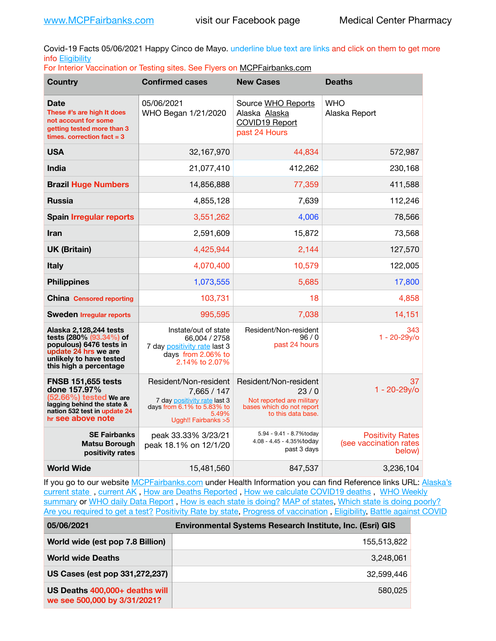Covid-19 Facts 05/06/2021 Happy Cinco de Mayo. underline blue text are links and click on them to get more info [Eligibility](http://dhss.alaska.gov/dph/Epi/id/Pages/COVID-19/VaccineAvailability.aspx)

For Interior Vaccination or Testing sites. See Flyers on [MCPFairbanks.com](http://www.MCPFairbanks.com)

| <b>Country</b>                                                                                                                                            | <b>Confirmed cases</b>                                                                                                              | <b>New Cases</b>                                                                                              | <b>Deaths</b>                                               |
|-----------------------------------------------------------------------------------------------------------------------------------------------------------|-------------------------------------------------------------------------------------------------------------------------------------|---------------------------------------------------------------------------------------------------------------|-------------------------------------------------------------|
| Date<br>These #'s are high It does<br>not account for some<br>getting tested more than 3<br>times, correction fact $= 3$                                  | 05/06/2021<br>WHO Began 1/21/2020                                                                                                   | Source WHO Reports<br>Alaska Alaska<br><b>COVID19 Report</b><br>past 24 Hours                                 | <b>WHO</b><br>Alaska Report                                 |
| <b>USA</b>                                                                                                                                                | 32,167,970                                                                                                                          | 44,834                                                                                                        | 572,987                                                     |
| India                                                                                                                                                     | 21,077,410                                                                                                                          | 412,262                                                                                                       | 230,168                                                     |
| <b>Brazil Huge Numbers</b>                                                                                                                                | 14,856,888                                                                                                                          | 77,359                                                                                                        | 411,588                                                     |
| <b>Russia</b>                                                                                                                                             | 4,855,128                                                                                                                           | 7,639                                                                                                         | 112,246                                                     |
| <b>Spain Irregular reports</b>                                                                                                                            | 3,551,262                                                                                                                           | 4,006                                                                                                         | 78,566                                                      |
| <b>Iran</b>                                                                                                                                               | 2,591,609                                                                                                                           | 15,872                                                                                                        | 73,568                                                      |
| <b>UK (Britain)</b>                                                                                                                                       | 4,425,944                                                                                                                           | 2,144                                                                                                         | 127,570                                                     |
| <b>Italy</b>                                                                                                                                              | 4,070,400                                                                                                                           | 10,579                                                                                                        | 122,005                                                     |
| <b>Philippines</b>                                                                                                                                        | 1,073,555                                                                                                                           | 5,685                                                                                                         | 17,800                                                      |
| <b>China Censored reporting</b>                                                                                                                           | 103,731                                                                                                                             | 18                                                                                                            | 4,858                                                       |
| <b>Sweden Irregular reports</b>                                                                                                                           | 995,595                                                                                                                             | 7,038                                                                                                         | 14,151                                                      |
| Alaska 2,128,244 tests<br>tests (280% (93.34%) of<br>populous) 6476 tests in<br>update 24 hrs we are<br>unlikely to have tested<br>this high a percentage | Instate/out of state<br>66,004 / 2758<br>7 day positivity rate last 3<br>days from 2.06% to<br>2.14% to 2.07%                       | Resident/Non-resident<br>96/0<br>past 24 hours                                                                | 343<br>1 - 20-29y/o                                         |
| <b>FNSB 151,655 tests</b><br>done 157.97%<br>(52.66%) tested We are<br>lagging behind the state &<br>nation 532 test in update 24<br>hr see above note    | Resident/Non-resident<br>7,665 / 147<br>7 day positivity rate last 3<br>days from 6.1% to 5.83% to<br>5.49%<br>Uggh!! Fairbanks > 5 | Resident/Non-resident<br>23/0<br>Not reported are military<br>bases which do not report<br>to this data base. | 37<br>1 - 20-29y/o                                          |
| <b>SE Fairbanks</b><br>Matsu Borough<br>positivity rates                                                                                                  | peak 33.33% 3/23/21<br>peak 18.1% on 12/1/20                                                                                        | 5.94 - 9.41 - 8.7% today<br>4.08 - 4.45 - 4.35%today<br>past 3 days                                           | <b>Positivity Rates</b><br>(see vaccination rates<br>below) |
| <b>World Wide</b>                                                                                                                                         | 15,481,560                                                                                                                          | 847,537                                                                                                       | 3,236,104                                                   |

If you go to our website [MCPFairbanks.com](http://www.MCPFairbanks.com) under Health Information you can find Reference links URL: Alaska's [current state](https://coronavirus-response-alaska-dhss.hub.arcgis.com) , [current AK](http://dhss.alaska.gov/dph/Epi/id/Pages/COVID-19/communications.aspx#cases) , [How are Deaths Reported](http://dhss.alaska.gov/dph/Epi/id/Pages/COVID-19/deathcounts.aspx) , [How we calculate COVID19 deaths](https://coronavirus-response-alaska-dhss.hub.arcgis.com/search?collection=Document&groupIds=41ccb3344ebc4bd682c74073eba21f42) , [WHO Weekly](http://www.who.int)  [summary](http://www.who.int) or [WHO daily Data Report](https://covid19.who.int/table), [How is each state is doing?](https://www.msn.com/en-us/news/us/state-by-state-coronavirus-news/ar-BB13E1PX?fbclid=IwAR0_OBJH7lSyTN3ug_MsOeFnNgB1orTa9OBgilKJ7dhnwlVvHEsptuKkj1c) [MAP of states,](https://www.nationalgeographic.com/science/graphics/graphic-tracking-coronavirus-infections-us?cmpid=org=ngp::mc=crm-email::src=ngp::cmp=editorial::add=SpecialEdition_20210305&rid=B9A6DF5992658E8E35CE023113CFEA4C) [Which state is doing poorly?](https://bestlifeonline.com/covid-outbreak-your-state/?utm_source=nsltr&utm_medium=email&utm_content=covid-outbreak-your-state&utm_campaign=launch) [Are you required to get a test?](http://dhss.alaska.gov/dph/Epi/id/SiteAssets/Pages/HumanCoV/Whattodoafteryourtest.pdf) [Positivity Rate by state](https://coronavirus.jhu.edu/testing/individual-states/alaska), Progress of vaccination, [Eligibility,](http://dhss.alaska.gov/dph/Epi/id/Pages/COVID-19/VaccineAvailability.aspx) [Battle against COVID](https://www.nationalgeographic.com/science/graphics/graphic-tracking-coronavirus-infections-us?cmpid=org=ngp::mc=crm-email::src=ngp::cmp=editorial::add=SpecialEdition_20210219&rid=B9A6DF5992658E8E35CE023113CFEA4C)

| 05/06/2021                                                     | Environmental Systems Research Institute, Inc. (Esri) GIS |
|----------------------------------------------------------------|-----------------------------------------------------------|
| World wide (est pop 7.8 Billion)                               | 155,513,822                                               |
| <b>World wide Deaths</b>                                       | 3,248,061                                                 |
| US Cases (est pop 331,272,237)                                 | 32.599.446                                                |
| US Deaths 400,000+ deaths will<br>we see 500,000 by 3/31/2021? | 580.025                                                   |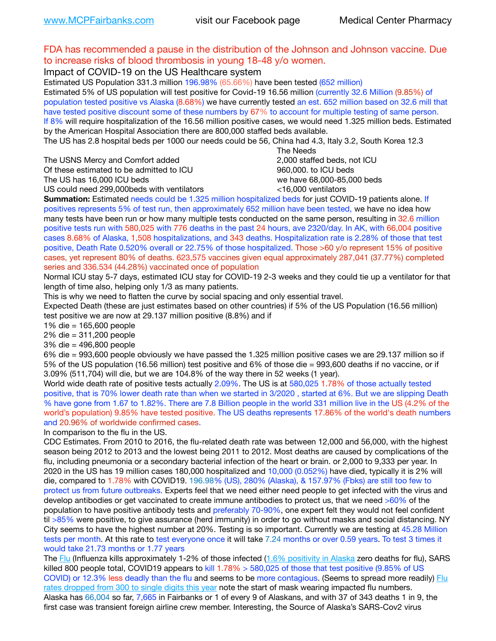FDA has recommended a pause in the distribution of the Johnson and Johnson vaccine. Due to increase risks of blood thrombosis in young 18-48 y/o women. Impact of COVID-19 on the US Healthcare system Estimated US Population 331.3 million 196.98% (65.66%) have been tested (652 million) Estimated 5% of US population will test positive for Covid-19 16.56 million (currently 32.6 Million (9.85%) of population tested positive vs Alaska (8.68%) we have currently tested an est. 652 million based on 32.6 mill that have tested positive discount some of these numbers by 67% to account for multiple testing of same person. If 8% will require hospitalization of the 16.56 million positive cases, we would need 1.325 million beds. Estimated by the American Hospital Association there are 800,000 staffed beds available. The US has 2.8 hospital beds per 1000 our needs could be 56, China had 4.3, Italy 3.2, South Korea 12.3 The Needs The USNS Mercy and Comfort added 2,000 staffed beds, not ICU Of these estimated to be admitted to ICU 960,000. to ICU beds The US has 16,000 ICU beds we have 68,000-85,000 beds US could need 299,000 beds with ventilators  $\leq$ 16,000 ventilators **Summation:** Estimated needs could be 1.325 million hospitalized beds for just COVID-19 patients alone. If positives represents 5% of test run, then approximately 652 million have been tested, we have no idea how many tests have been run or how many multiple tests conducted on the same person, resulting in 32.6 million positive tests run with 580,025 with 776 deaths in the past 24 hours, ave 2320/day. In AK, with 66,004 positive cases 8.68% of Alaska, 1,508 hospitalizations, and 343 deaths. Hospitalization rate is 2.28% of those that test positive, Death Rate 0.520% overall or 22.75% of those hospitalized. Those >60 y/o represent 15% of positive cases, yet represent 80% of deaths. 623,575 vaccines given equal approximately 287,041 (37.77%) completed series and 336.534 (44.28%) vaccinated once of population Normal ICU stay 5-7 days, estimated ICU stay for COVID-19 2-3 weeks and they could tie up a ventilator for that length of time also, helping only 1/3 as many patients. This is why we need to flatten the curve by social spacing and only essential travel. Expected Death (these are just estimates based on other countries) if 5% of the US Population (16.56 million) test positive we are now at 29.137 million positive (8.8%) and if 1% die = 165,600 people 2% die = 311,200 people 3% die = 496,800 people 6% die = 993,600 people obviously we have passed the 1.325 million positive cases we are 29.137 million so if 5% of the US population (16.56 million) test positive and 6% of those die = 993,600 deaths if no vaccine, or if 3.09% (511,704) will die, but we are 104.8% of the way there in 52 weeks (1 year). World wide death rate of positive tests actually 2.09%. The US is at 580,025 1.78% of those actually tested positive, that is 70% lower death rate than when we started in 3/2020 , started at 6%. But we are slipping Death % have gone from 1.67 to 1.82%. There are 7.8 Billion people in the world 331 million live in the US (4.2% of the world's population) 9.85% have tested positive. The US deaths represents 17.86% of the world's death numbers and 20.96% of worldwide confirmed cases. In comparison to the flu in the US. CDC Estimates. From 2010 to 2016, the flu-related death rate was between 12,000 and 56,000, with the highest season being 2012 to 2013 and the lowest being 2011 to 2012. Most deaths are caused by complications of the flu, including pneumonia or a secondary bacterial infection of the heart or brain. or 2,000 to 9,333 per year. In 2020 in the US has 19 million cases 180,000 hospitalized and 10,000 (0.052%) have died, typically it is 2% will die, compared to 1.78% with COVID19. 196.98% (US), 280% (Alaska), & 157.97% (Fbks) are still too few to protect us from future outbreaks. Experts feel that we need either need people to get infected with the virus and develop antibodies or get vaccinated to create immune antibodies to protect us, that we need >60% of the population to have positive antibody tests and preferably 70-90%, one expert felt they would not feel confident til >85% were positive, to give assurance (herd immunity) in order to go without masks and social distancing. NY

City seems to have the highest number at 20%. Testing is so important. Currently we are testing at 45.28 Million tests per month. At this rate to test everyone once it will take 7.24 months or over 0.59 years. To test 3 times it would take 21.73 months or 1.77 years

The [Flu](https://lnks.gd/l/eyJhbGciOiJIUzI1NiJ9.eyJidWxsZXRpbl9saW5rX2lkIjoxMDMsInVyaSI6ImJwMjpjbGljayIsImJ1bGxldGluX2lkIjoiMjAyMTAyMjYuMzYwNDA3NTEiLCJ1cmwiOiJodHRwczovL3d3dy5jZGMuZ292L2ZsdS93ZWVrbHkvb3ZlcnZpZXcuaHRtIn0.ePMA_hsZ-pTnhWSyg1gHvHWYTu2XceVOt0JejxvP1WE/s/500544915/br/98428119752-l) (Influenza kills approximately 1-2% of those infected ([1.6% positivity in Alaska](http://dhss.alaska.gov/dph/Epi/id/SiteAssets/Pages/influenza/trends/Snapshot.pdf) zero deaths for flu), SARS killed 800 people total, COVID19 appears to kill 1.78% > 580,025 of those that test positive (9.85% of US COVID) or 12.3% less deadly than the flu and seems to be more contagious. (Seems to spread more readily) Flu [rates dropped from 300 to single digits this year](https://lnks.gd/l/eyJhbGciOiJIUzI1NiJ9.eyJidWxsZXRpbl9saW5rX2lkIjoxMDEsInVyaSI6ImJwMjpjbGljayIsImJ1bGxldGluX2lkIjoiMjAyMTAyMjYuMzYwNDA3NTEiLCJ1cmwiOiJodHRwOi8vZGhzcy5hbGFza2EuZ292L2RwaC9FcGkvaWQvUGFnZXMvaW5mbHVlbnphL2ZsdWluZm8uYXNweCJ9.oOe3nt2fww6XpsNhb4FZfmtPfPa-irGaldpkURBJhSo/s/500544915/br/98428119752-l) note the start of mask wearing impacted flu numbers. Alaska has 66,004 so far, 7,665 in Fairbanks or 1 of every 9 of Alaskans, and with 37 of 343 deaths 1 in 9, the first case was transient foreign airline crew member. Interesting, the Source of Alaska's SARS-Cov2 virus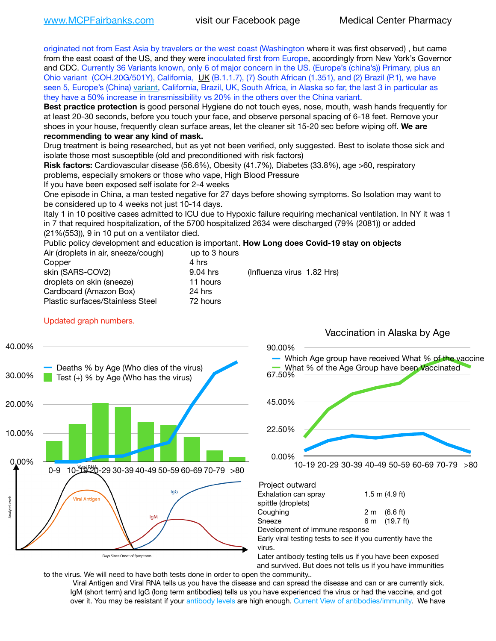originated not from East Asia by travelers or the west coast (Washington where it was first observed) , but came from the east coast of the US, and they were inoculated first from Europe, accordingly from New York's Governor and CDC. Currently 36 Variants known, only 6 of major concern in the US. (Europe's (china's)) Primary, plus an Ohio variant (COH.20G/501Y), California, [UK](https://www.cdc.gov/coronavirus/2019-ncov/transmission/variant-cases.html) (B.1.1.7), (7) South African (1.351), and (2) Brazil (P.1), we have seen 5, Europe's (China) [variant,](https://www.webmd.com/lung/news/20210318/cdc-who-create-threat-levels-for-covid-variants?ecd=wnl_cvd_031921&ctr=wnl-cvd-031921&mb=kYbf7DsHb7YGjh/1RUkcAW0T6iorImAU1TDZh18RYs0=_Support_titleLink_2) California, Brazil, UK, South Africa, in Alaska so far, the last 3 in particular as they have a 50% increase in transmissibility vs 20% in the others over the China variant.

**Best practice protection** is good personal Hygiene do not touch eyes, nose, mouth, wash hands frequently for at least 20-30 seconds, before you touch your face, and observe personal spacing of 6-18 feet. Remove your shoes in your house, frequently clean surface areas, let the cleaner sit 15-20 sec before wiping off. **We are recommending to wear any kind of mask.**

Drug treatment is being researched, but as yet not been verified, only suggested. Best to isolate those sick and isolate those most susceptible (old and preconditioned with risk factors)

**Risk factors:** Cardiovascular disease (56.6%), Obesity (41.7%), Diabetes (33.8%), age >60, respiratory problems, especially smokers or those who vape, High Blood Pressure

If you have been exposed self isolate for 2-4 weeks

One episode in China, a man tested negative for 27 days before showing symptoms. So Isolation may want to be considered up to 4 weeks not just 10-14 days.

Italy 1 in 10 positive cases admitted to ICU due to Hypoxic failure requiring mechanical ventilation. In NY it was 1 in 7 that required hospitalization, of the 5700 hospitalized 2634 were discharged (79% (2081)) or added (21%(553)), 9 in 10 put on a ventilator died.

Public policy development and education is important. **How Long does Covid-19 stay on objects**

| Air (droplets in air, sneeze/cough) | up to 3 hours |                            |
|-------------------------------------|---------------|----------------------------|
| Copper                              | 4 hrs         |                            |
| skin (SARS-COV2)                    | 9.04 hrs      | (Influenza virus 1.82 Hrs) |
| droplets on skin (sneeze)           | 11 hours      |                            |
| Cardboard (Amazon Box)              | 24 hrs        |                            |
| Plastic surfaces/Stainless Steel    | 72 hours      |                            |
|                                     |               |                            |

### Updated graph numbers.





### Project outward

| Exhalation can spray           | $1.5$ m $(4.9$ ft)     |
|--------------------------------|------------------------|
| spittle (droplets)             |                        |
| Coughing                       | $2 \text{ m}$ (6.6 ft) |
| Sneeze                         | 6 m (19.7 ft)          |
| Development of immune response |                        |
|                                |                        |

Early viral testing tests to see if you currently have the virus.

Later antibody testing tells us if you have been exposed and survived. But does not tells us if you have immunities

to the virus. We will need to have both tests done in order to open the community.. Viral Antigen and Viral RNA tells us you have the disease and can spread the disease and can or are currently sick. IgM (short term) and IgG (long term antibodies) tells us you have experienced the virus or had the vaccine, and got over it. You may be resistant if your [antibody levels](https://www.cdc.gov/coronavirus/2019-ncov/lab/resources/antibody-tests.html) are high enough. [Current](https://l.facebook.com/l.php?u=https://www.itv.com/news/2020-10-26/covid-19-antibody-levels-reduce-over-time-study-finds?fbclid=IwAR3Dapzh1qIH1EIOdUQI2y8THf7jfA4KBCaJz8Qg-8xe1YsrR4nsAHDIXSY&h=AT30nut8pkqp0heVuz5W2rT2WFFm-2Ab52BsJxZZCNlGsX58IpPkuVEPULbIUV_M16MAukx1Kwb657DPXxsgDN1rpOQ4gqBtQsmVYiWpnHPJo2RQsU6CPMd14lgLnQnFWxfVi6zvmw&__tn__=-UK-R&c%5B0%5D=AT1GaRAfR_nGAyqcn7TI1-PpvqOqEKXHnz6TDWvRStMnOSH7boQDvTiwTOc6VId9UES6LKiOmm2m88wKCoolkJyOFvakt2Z1Mw8toYWGGoWW23r0MNVBl7cYJXB_UOvGklNHaNnaNr1_S7NhT3BSykNOBg) [View of antibodies/immunity](https://www.livescience.com/antibodies.html)[.](https://www.itv.com/news/2020-10-26/covid-19-antibody-levels-reduce-over-time-study-finds) We have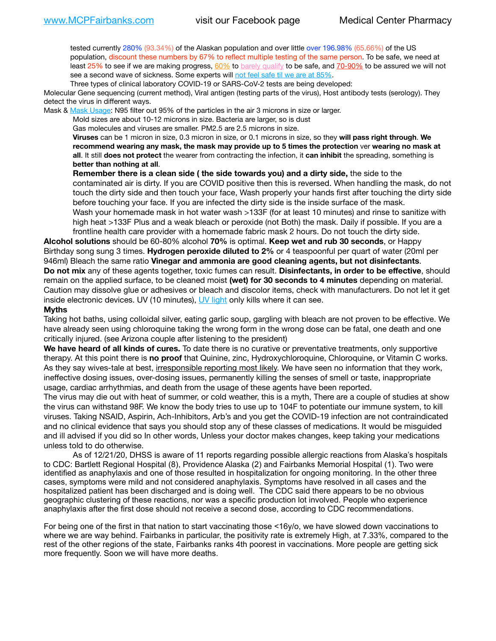tested currently 280% (93.34%) of the Alaskan population and over little over 196.98% (65.66%) of the US population, discount these numbers by 67% to reflect multiple testing of the same person. To be safe, we need at least 25% to see if we are making progress,  $60\%$  to [barely qualify](https://www.nature.com/articles/d41586-020-02948-4) to be safe, and  $70-90\%$  to be assured we will not see a second wave of sickness. Some experts will [not feel safe til we are at 85%.](https://www.bannerhealth.com/healthcareblog/teach-me/what-is-herd-immunity)

Three types of clinical laboratory COVID-19 or SARS-CoV-2 tests are being developed:

Molecular Gene sequencing (current method), Viral antigen (testing parts of the virus), Host antibody tests (serology). They detect the virus in different ways.

Mask & [Mask Usage:](https://www.nationalgeographic.com/history/2020/03/how-cities-flattened-curve-1918-spanish-flu-pandemic-coronavirus/) N95 filter out 95% of the particles in the air 3 microns in size or larger.

Mold sizes are about 10-12 microns in size. Bacteria are larger, so is dust

Gas molecules and viruses are smaller. PM2.5 are 2.5 microns in size.

**Viruses** can be 1 micron in size, 0.3 micron in size, or 0.1 microns in size, so they **will pass right through**. **We recommend wearing any mask, the mask may provide up to 5 times the protection** ver **wearing no mask at all**. It still **does not protect** the wearer from contracting the infection, it **can inhibit** the spreading, something is **better than nothing at all**.

**Remember there is a clean side ( the side towards you) and a dirty side,** the side to the contaminated air is dirty. If you are COVID positive then this is reversed. When handling the mask, do not touch the dirty side and then touch your face, Wash properly your hands first after touching the dirty side before touching your face. If you are infected the dirty side is the inside surface of the mask. Wash your homemade mask in hot water wash >133F (for at least 10 minutes) and rinse to sanitize with high heat >133F Plus and a weak bleach or peroxide (not Both) the mask. Daily if possible. If you are a frontline health care provider with a homemade fabric mask 2 hours. Do not touch the dirty side.

**Alcohol solutions** should be 60-80% alcohol **70%** is optimal. **Keep wet and rub 30 seconds**, or Happy Birthday song sung 3 times. **Hydrogen peroxide diluted to 2%** or 4 teaspoonful per quart of water (20ml per 946ml) Bleach the same ratio **Vinegar and ammonia are good cleaning agents, but not disinfectants**. **Do not mix** any of these agents together, toxic fumes can result. **Disinfectants, in order to be effective**, should remain on the applied surface, to be cleaned moist **(wet) for 30 seconds to 4 minutes** depending on material. Caution may dissolve glue or adhesives or bleach and discolor items, check with manufacturers. Do not let it get inside electronic devices. UV (10 minutes), [UV light](http://www.docreviews.me/best-uv-boxes-2020/?fbclid=IwAR3bvFtXB48OoBBSvYvTEnKuHNPbipxM6jUo82QUSw9wckxjC7wwRZWabGw) only kills where it can see.

### **Myths**

Taking hot baths, using colloidal silver, eating garlic soup, gargling with bleach are not proven to be effective. We have already seen using chloroquine taking the wrong form in the wrong dose can be fatal, one death and one critically injured. (see Arizona couple after listening to the president)

**We have heard of all kinds of cures.** To date there is no curative or preventative treatments, only supportive therapy. At this point there is **no proof** that Quinine, zinc, Hydroxychloroquine, Chloroquine, or Vitamin C works. As they say wives-tale at best, irresponsible reporting most likely. We have seen no information that they work, ineffective dosing issues, over-dosing issues, permanently killing the senses of smell or taste, inappropriate usage, cardiac arrhythmias, and death from the usage of these agents have been reported.

The virus may die out with heat of summer, or cold weather, this is a myth, There are a couple of studies at show the virus can withstand 98F. We know the body tries to use up to 104F to potentiate our immune system, to kill viruses. Taking NSAID, Aspirin, Ach-Inhibitors, Arb's and you get the COVID-19 infection are not contraindicated and no clinical evidence that says you should stop any of these classes of medications. It would be misguided and ill advised if you did so In other words, Unless your doctor makes changes, keep taking your medications unless told to do otherwise.

As of 12/21/20, DHSS is aware of 11 reports regarding possible allergic reactions from Alaska's hospitals to CDC: Bartlett Regional Hospital (8), Providence Alaska (2) and Fairbanks Memorial Hospital (1). Two were identified as anaphylaxis and one of those resulted in hospitalization for ongoing monitoring. In the other three cases, symptoms were mild and not considered anaphylaxis. Symptoms have resolved in all cases and the hospitalized patient has been discharged and is doing well. The CDC said there appears to be no obvious geographic clustering of these reactions, nor was a specific production lot involved. People who experience anaphylaxis after the first dose should not receive a second dose, according to CDC recommendations.

For being one of the first in that nation to start vaccinating those <16y/o, we have slowed down vaccinations to where we are way behind. Fairbanks in particular, the positivity rate is extremely High, at 7.33%, compared to the rest of the other regions of the state, Fairbanks ranks 4th poorest in vaccinations. More people are getting sick more frequently. Soon we will have more deaths.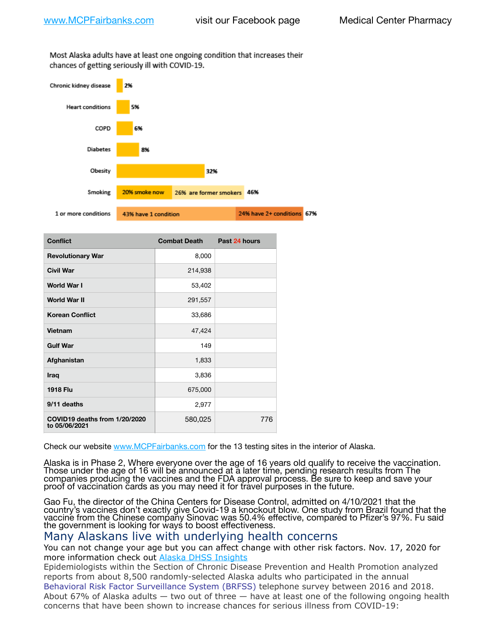Most Alaska adults have at least one ongoing condition that increases their chances of getting seriously ill with COVID-19.



| <b>Conflict</b>                                | <b>Combat Death</b> | Past 24 hours |
|------------------------------------------------|---------------------|---------------|
| <b>Revolutionary War</b>                       | 8,000               |               |
| <b>Civil War</b>                               | 214,938             |               |
| <b>World War I</b>                             | 53,402              |               |
| <b>World War II</b>                            | 291,557             |               |
| <b>Korean Conflict</b>                         | 33,686              |               |
| Vietnam                                        | 47,424              |               |
| <b>Gulf War</b>                                | 149                 |               |
| Afghanistan                                    | 1,833               |               |
| Iraq                                           | 3,836               |               |
| <b>1918 Flu</b>                                | 675,000             |               |
| 9/11 deaths                                    | 2,977               |               |
| COVID19 deaths from 1/20/2020<br>to 05/06/2021 | 580,025             | 776           |

Check our website [www.MCPFairbanks.com](http://www.MCPFairbanks.com) for the 13 testing sites in the interior of Alaska.

Alaska is in Phase 2, Where everyone over the age of 16 years old qualify to receive the vaccination. Those under the age of 16 will be announced at a later time, pending research results from The companies producing the vaccines and the FDA approval process. Be sure to keep and save your proof of vaccination cards as you may need it for travel purposes in the future.

Gao Fu, the director of the China Centers for Disease Control, admitted on 4/10/2021 that the country's vaccines don't exactly give Covid-19 a knockout blow. One study from Brazil found that the vaccine from the Chinese company Sinovac was 50.4% effective, compared to Pfizer's 97%. Fu said the government is looking for ways to boost effectiveness.

## Many Alaskans live with underlying health concerns

You can not change your age but you can affect change with other risk factors. Nov. 17, 2020 for more information check out [Alaska DHSS Insights](http://dhss.alaska.gov/dph/Epi/id/Pages/COVID-19/blog/20201117.aspx)

Epidemiologists within the Section of Chronic Disease Prevention and Health Promotion analyzed reports from about 8,500 randomly-selected Alaska adults who participated in the annual [Behavioral Risk Factor Surveillance System \(BRFSS\)](http://dhss.alaska.gov/dph/Chronic/Pages/brfss/default.aspx) telephone survey between 2016 and 2018. About 67% of Alaska adults — two out of three — have at least one of the following ongoing health concerns that have been shown to increase chances for serious illness from COVID-19: